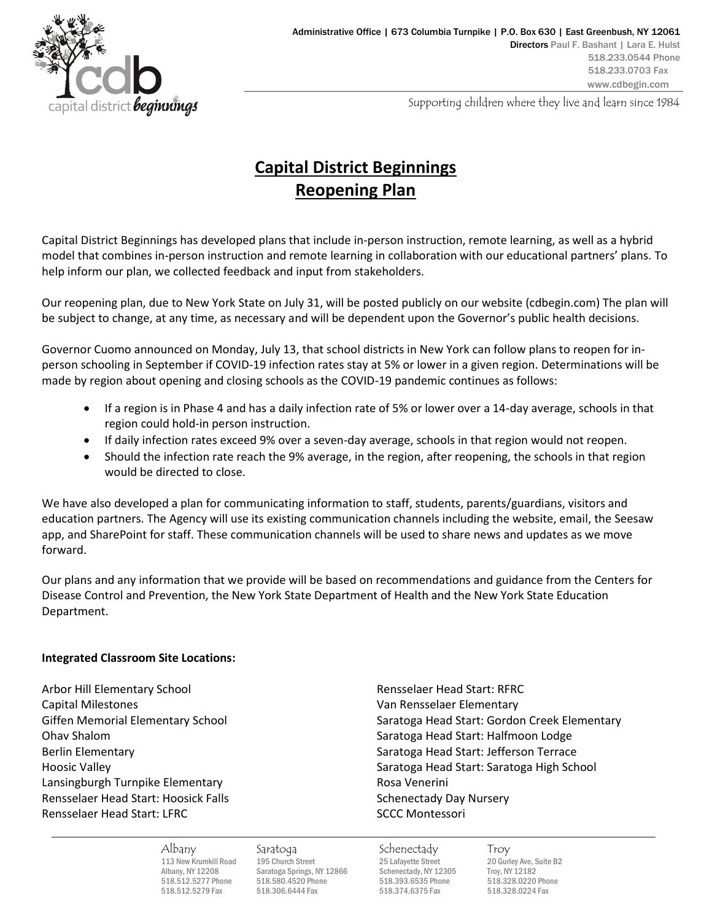

Supporting children where they live and learn since 1984

# **Capital District Beginnings Reopening Plan**

Capital District Beginnings has developed plans that include in-person instruction, remote learning, as well as a hybrid model that combines in-person instruction and remote learning in collaboration with our educational partners' plans. To help inform our plan, we collected feedback and input from stakeholders.

Our reopening plan, due to New York State on July 31, will be posted publicly on our website (cdbegin.com) The plan will be subject to change, at any time, as necessary and will be dependent upon the Governor's public health decisions.

Governor Cuomo announced on Monday, July 13, that school districts in New York can follow plans to reopen for inperson schooling in September if COVID-19 infection rates stay at 5% or lower in a given region. Determinations will be made by region about opening and closing schools as the COVID-19 pandemic continues as follows:

- If a region is in Phase 4 and has a daily infection rate of 5% or lower over a 14-day average, schools in that region could hold-in person instruction.
- If daily infection rates exceed 9% over a seven-day average, schools in that region would not reopen.
- Should the infection rate reach the 9% average, in the region, after reopening, the schools in that region would be directed to close.

We have also developed a plan for communicating information to staff, students, parents/guardians, visitors and education partners. The Agency will use its existing communication channels including the website, email, the Seesaw app, and SharePoint for staff. These communication channels will be used to share news and updates as we move forward.

Our plans and any information that we provide will be based on recommendations and guidance from the Centers for Disease Control and Prevention, the New York State Department of Health and the New York State Education Department.

# **Integrated Classroom Site Locations:**

Arbor Hill Elementary School **Rensigned Start: RFRC** Rensselaer Head Start: RFRC Capital Milestones Van Rensselaer Elementary Lansingburgh Turnpike Elementary **Rosa Venerini** Rosa Venerini Rensselaer Head Start: Hoosick Falls Schenectady Day Nursery Rensselaer Head Start: LFRC SCCC Montessori

Giffen Memorial Elementary School Saratoga Head Start: Gordon Creek Elementary Ohav Shalom Saratoga Head Start: Halfmoon Lodge Berlin Elementary Saratoga Head Start: Jefferson Terrace Hoosic Valley **Saratoga Head Start: Saratoga High School** 

113 New Krumkill Road 195 Church Street 25 Lafayette Street 20 Gurley Ave, Suite B2<br>Albany, NY 12208 Saratoga Springs, NY 12866 Schenectady, NY 12305 Troy, NY 12182 Albany, NY 12208 Saratoga Springs, NY 12866 Schenectady, NY 12305<br>518.512.5277 Phone 518.580.4520 Phone 518.393.6535 Phone 518.512.5279 Fax 518.306.6444 Fax 518.374.6375 Fax 518.328.0224 Fax

Albany Saratoga Schenectady Troy

518.512.5277 Phone 518.580.4520 Phone 518.393.6535 Phone 518.328.0220 Phone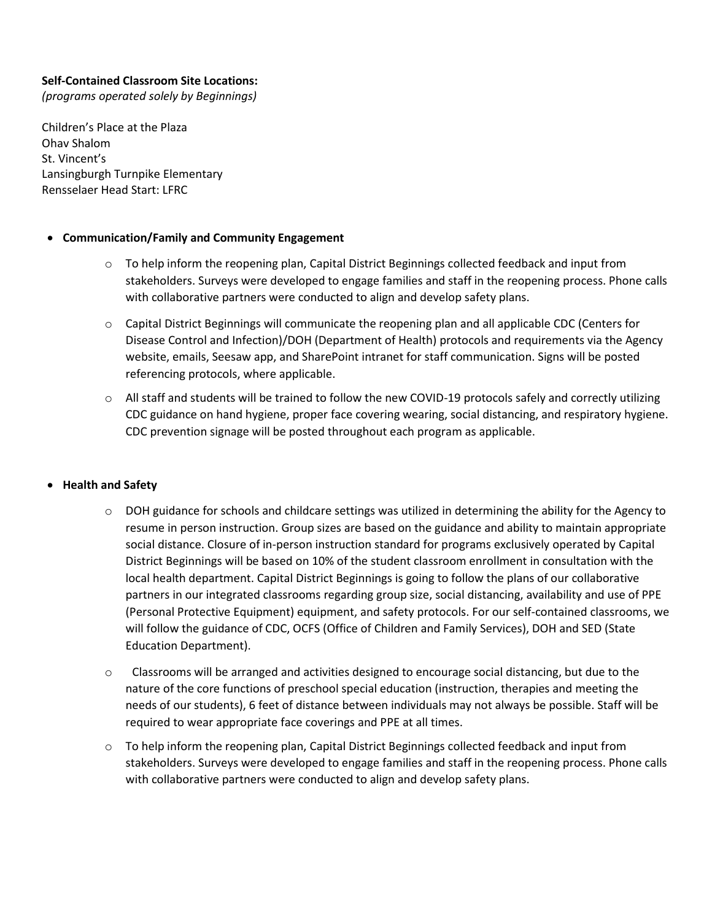## **Self-Contained Classroom Site Locations:**

*(programs operated solely by Beginnings)*

Children's Place at the Plaza Ohav Shalom St. Vincent's Lansingburgh Turnpike Elementary Rensselaer Head Start: LFRC

#### • **Communication/Family and Community Engagement**

- $\circ$  To help inform the reopening plan, Capital District Beginnings collected feedback and input from stakeholders. Surveys were developed to engage families and staff in the reopening process. Phone calls with collaborative partners were conducted to align and develop safety plans.
- o Capital District Beginnings will communicate the reopening plan and all applicable CDC (Centers for Disease Control and Infection)/DOH (Department of Health) protocols and requirements via the Agency website, emails, Seesaw app, and SharePoint intranet for staff communication. Signs will be posted referencing protocols, where applicable.
- $\circ$  All staff and students will be trained to follow the new COVID-19 protocols safely and correctly utilizing CDC guidance on hand hygiene, proper face covering wearing, social distancing, and respiratory hygiene. CDC prevention signage will be posted throughout each program as applicable.

#### • **Health and Safety**

- o DOH guidance for schools and childcare settings was utilized in determining the ability for the Agency to resume in person instruction. Group sizes are based on the guidance and ability to maintain appropriate social distance. Closure of in-person instruction standard for programs exclusively operated by Capital District Beginnings will be based on 10% of the student classroom enrollment in consultation with the local health department. Capital District Beginnings is going to follow the plans of our collaborative partners in our integrated classrooms regarding group size, social distancing, availability and use of PPE (Personal Protective Equipment) equipment, and safety protocols. For our self-contained classrooms, we will follow the guidance of CDC, OCFS (Office of Children and Family Services), DOH and SED (State Education Department).
- $\circ$  Classrooms will be arranged and activities designed to encourage social distancing, but due to the nature of the core functions of preschool special education (instruction, therapies and meeting the needs of our students), 6 feet of distance between individuals may not always be possible. Staff will be required to wear appropriate face coverings and PPE at all times.
- o To help inform the reopening plan, Capital District Beginnings collected feedback and input from stakeholders. Surveys were developed to engage families and staff in the reopening process. Phone calls with collaborative partners were conducted to align and develop safety plans.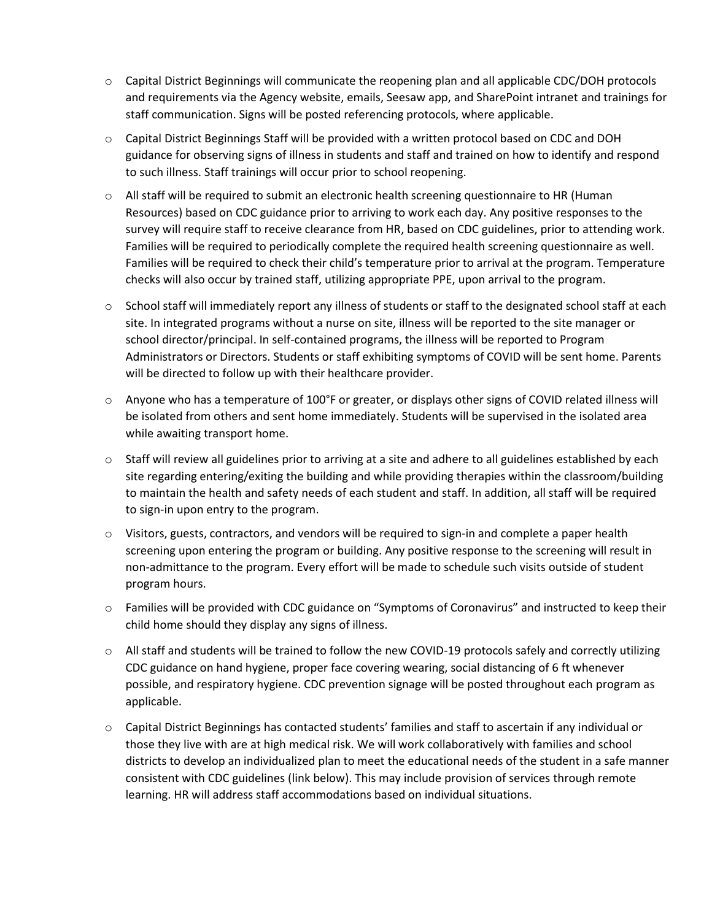- o Capital District Beginnings will communicate the reopening plan and all applicable CDC/DOH protocols and requirements via the Agency website, emails, Seesaw app, and SharePoint intranet and trainings for staff communication. Signs will be posted referencing protocols, where applicable.
- $\circ$  Capital District Beginnings Staff will be provided with a written protocol based on CDC and DOH guidance for observing signs of illness in students and staff and trained on how to identify and respond to such illness. Staff trainings will occur prior to school reopening.
- $\circ$  All staff will be required to submit an electronic health screening questionnaire to HR (Human Resources) based on CDC guidance prior to arriving to work each day. Any positive responses to the survey will require staff to receive clearance from HR, based on CDC guidelines, prior to attending work. Families will be required to periodically complete the required health screening questionnaire as well. Families will be required to check their child's temperature prior to arrival at the program. Temperature checks will also occur by trained staff, utilizing appropriate PPE, upon arrival to the program.
- o School staff will immediately report any illness of students or staff to the designated school staff at each site. In integrated programs without a nurse on site, illness will be reported to the site manager or school director/principal. In self-contained programs, the illness will be reported to Program Administrators or Directors. Students or staff exhibiting symptoms of COVID will be sent home. Parents will be directed to follow up with their healthcare provider.
- $\circ$  Anyone who has a temperature of 100°F or greater, or displays other signs of COVID related illness will be isolated from others and sent home immediately. Students will be supervised in the isolated area while awaiting transport home.
- $\circ$  Staff will review all guidelines prior to arriving at a site and adhere to all guidelines established by each site regarding entering/exiting the building and while providing therapies within the classroom/building to maintain the health and safety needs of each student and staff. In addition, all staff will be required to sign-in upon entry to the program.
- $\circ$  Visitors, guests, contractors, and vendors will be required to sign-in and complete a paper health screening upon entering the program or building. Any positive response to the screening will result in non-admittance to the program. Every effort will be made to schedule such visits outside of student program hours.
- o Families will be provided with CDC guidance on "Symptoms of Coronavirus" and instructed to keep their child home should they display any signs of illness.
- o All staff and students will be trained to follow the new COVID-19 protocols safely and correctly utilizing CDC guidance on hand hygiene, proper face covering wearing, social distancing of 6 ft whenever possible, and respiratory hygiene. CDC prevention signage will be posted throughout each program as applicable.
- o Capital District Beginnings has contacted students' families and staff to ascertain if any individual or those they live with are at high medical risk. We will work collaboratively with families and school districts to develop an individualized plan to meet the educational needs of the student in a safe manner consistent with CDC guidelines (link below). This may include provision of services through remote learning. HR will address staff accommodations based on individual situations.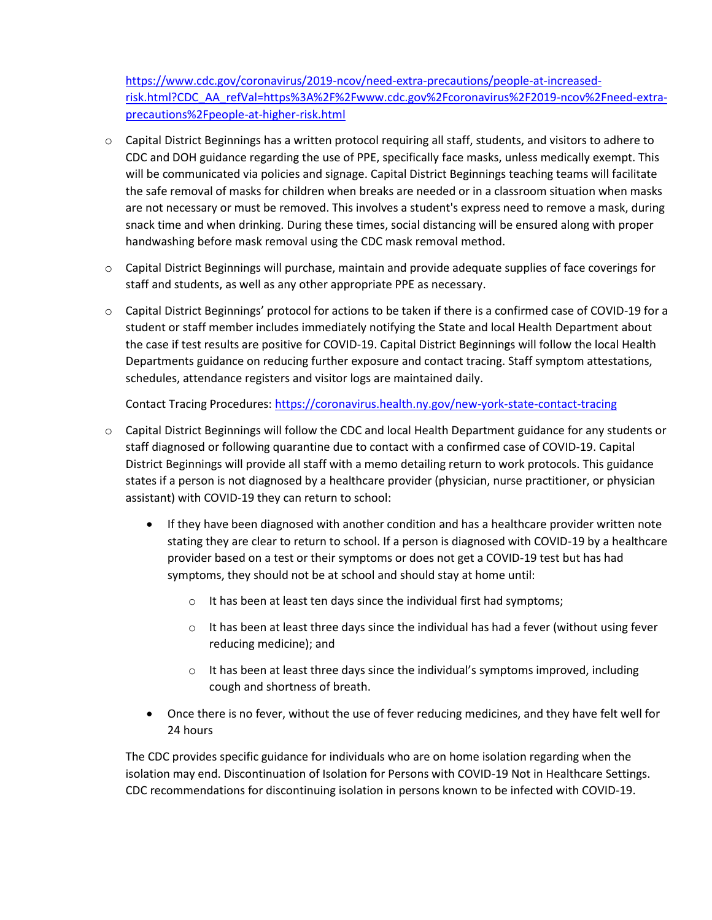[https://www.cdc.gov/coronavirus/2019-ncov/need-extra-precautions/people-at-increased](https://www.cdc.gov/coronavirus/2019-ncov/need-extra-precautions/people-at-increased-risk.html?CDC_AA_refVal=https%3A%2F%2Fwww.cdc.gov%2Fcoronavirus%2F2019-ncov%2Fneed-extra-precautions%2Fpeople-at-higher-risk.html)[risk.html?CDC\\_AA\\_refVal=https%3A%2F%2Fwww.cdc.gov%2Fcoronavirus%2F2019-ncov%2Fneed-extra](https://www.cdc.gov/coronavirus/2019-ncov/need-extra-precautions/people-at-increased-risk.html?CDC_AA_refVal=https%3A%2F%2Fwww.cdc.gov%2Fcoronavirus%2F2019-ncov%2Fneed-extra-precautions%2Fpeople-at-higher-risk.html)[precautions%2Fpeople-at-higher-risk.html](https://www.cdc.gov/coronavirus/2019-ncov/need-extra-precautions/people-at-increased-risk.html?CDC_AA_refVal=https%3A%2F%2Fwww.cdc.gov%2Fcoronavirus%2F2019-ncov%2Fneed-extra-precautions%2Fpeople-at-higher-risk.html)

- o Capital District Beginnings has a written protocol requiring all staff, students, and visitors to adhere to CDC and DOH guidance regarding the use of PPE, specifically face masks, unless medically exempt. This will be communicated via policies and signage. Capital District Beginnings teaching teams will facilitate the safe removal of masks for children when breaks are needed or in a classroom situation when masks are not necessary or must be removed. This involves a student's express need to remove a mask, during snack time and when drinking. During these times, social distancing will be ensured along with proper handwashing before mask removal using the CDC mask removal method.
- o Capital District Beginnings will purchase, maintain and provide adequate supplies of face coverings for staff and students, as well as any other appropriate PPE as necessary.
- o Capital District Beginnings' protocol for actions to be taken if there is a confirmed case of COVID-19 for a student or staff member includes immediately notifying the State and local Health Department about the case if test results are positive for COVID-19. Capital District Beginnings will follow the local Health Departments guidance on reducing further exposure and contact tracing. Staff symptom attestations, schedules, attendance registers and visitor logs are maintained daily.

Contact Tracing Procedures:<https://coronavirus.health.ny.gov/new-york-state-contact-tracing>

- o Capital District Beginnings will follow the CDC and local Health Department guidance for any students or staff diagnosed or following quarantine due to contact with a confirmed case of COVID-19. Capital District Beginnings will provide all staff with a memo detailing return to work protocols. This guidance states if a person is not diagnosed by a healthcare provider (physician, nurse practitioner, or physician assistant) with COVID-19 they can return to school:
	- If they have been diagnosed with another condition and has a healthcare provider written note stating they are clear to return to school. If a person is diagnosed with COVID-19 by a healthcare provider based on a test or their symptoms or does not get a COVID-19 test but has had symptoms, they should not be at school and should stay at home until:
		- o It has been at least ten days since the individual first had symptoms;
		- $\circ$  It has been at least three days since the individual has had a fever (without using fever reducing medicine); and
		- $\circ$  It has been at least three days since the individual's symptoms improved, including cough and shortness of breath.
	- Once there is no fever, without the use of fever reducing medicines, and they have felt well for 24 hours

The CDC provides specific guidance for individuals who are on home isolation regarding when the isolation may end. Discontinuation of Isolation for Persons with COVID-19 Not in Healthcare Settings. CDC recommendations for discontinuing isolation in persons known to be infected with COVID-19.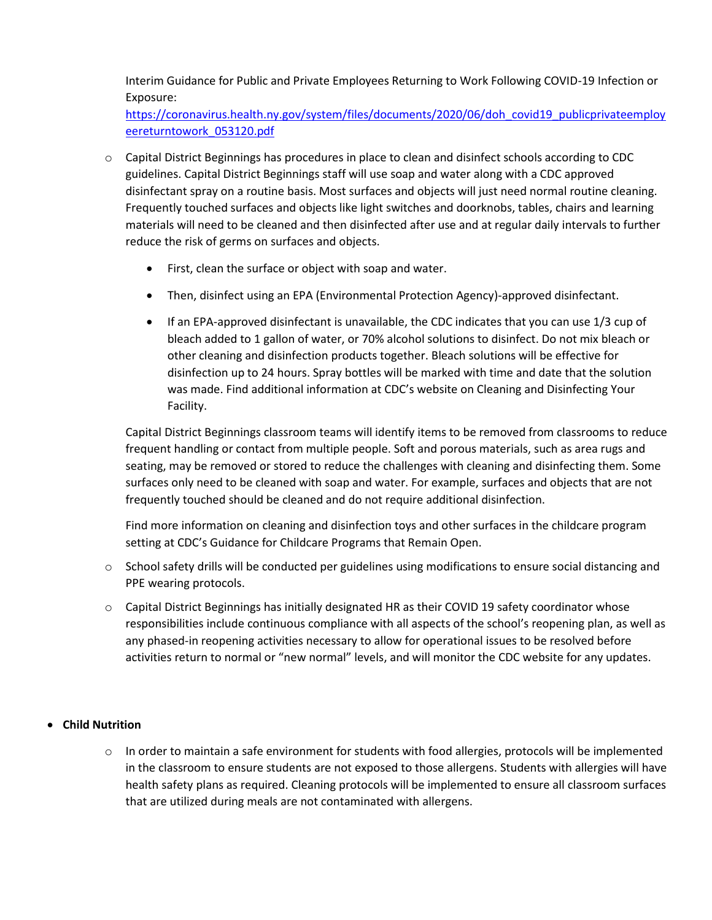Interim Guidance for Public and Private Employees Returning to Work Following COVID-19 Infection or Exposure:

[https://coronavirus.health.ny.gov/system/files/documents/2020/06/doh\\_covid19\\_publicprivateemploy](https://coronavirus.health.ny.gov/system/files/documents/2020/06/doh_covid19_publicprivateemployeereturntowork_053120.pdf) [eereturntowork\\_053120.pdf](https://coronavirus.health.ny.gov/system/files/documents/2020/06/doh_covid19_publicprivateemployeereturntowork_053120.pdf)

- o Capital District Beginnings has procedures in place to clean and disinfect schools according to CDC guidelines. Capital District Beginnings staff will use soap and water along with a CDC approved disinfectant spray on a routine basis. Most surfaces and objects will just need normal routine cleaning. Frequently touched surfaces and objects like light switches and doorknobs, tables, chairs and learning materials will need to be cleaned and then disinfected after use and at regular daily intervals to further reduce the risk of germs on surfaces and objects.
	- First, clean the surface or object with soap and water.
	- Then, disinfect using an EPA (Environmental Protection Agency)-approved disinfectant.
	- If an EPA-approved disinfectant is unavailable, the CDC indicates that you can use 1/3 cup of bleach added to 1 gallon of water, or 70% alcohol solutions to disinfect. Do not mix bleach or other cleaning and disinfection products together. Bleach solutions will be effective for disinfection up to 24 hours. Spray bottles will be marked with time and date that the solution was made. Find additional information at CDC's website on Cleaning and Disinfecting Your Facility.

Capital District Beginnings classroom teams will identify items to be removed from classrooms to reduce frequent handling or contact from multiple people. Soft and porous materials, such as area rugs and seating, may be removed or stored to reduce the challenges with cleaning and disinfecting them. Some surfaces only need to be cleaned with soap and water. For example, surfaces and objects that are not frequently touched should be cleaned and do not require additional disinfection.

Find more information on cleaning and disinfection toys and other surfaces in the childcare program setting at CDC's Guidance for Childcare Programs that Remain Open.

- $\circ$  School safety drills will be conducted per guidelines using modifications to ensure social distancing and PPE wearing protocols.
- o Capital District Beginnings has initially designated HR as their COVID 19 safety coordinator whose responsibilities include continuous compliance with all aspects of the school's reopening plan, as well as any phased-in reopening activities necessary to allow for operational issues to be resolved before activities return to normal or "new normal" levels, and will monitor the CDC website for any updates.

# • **Child Nutrition**

 $\circ$  In order to maintain a safe environment for students with food allergies, protocols will be implemented in the classroom to ensure students are not exposed to those allergens. Students with allergies will have health safety plans as required. Cleaning protocols will be implemented to ensure all classroom surfaces that are utilized during meals are not contaminated with allergens.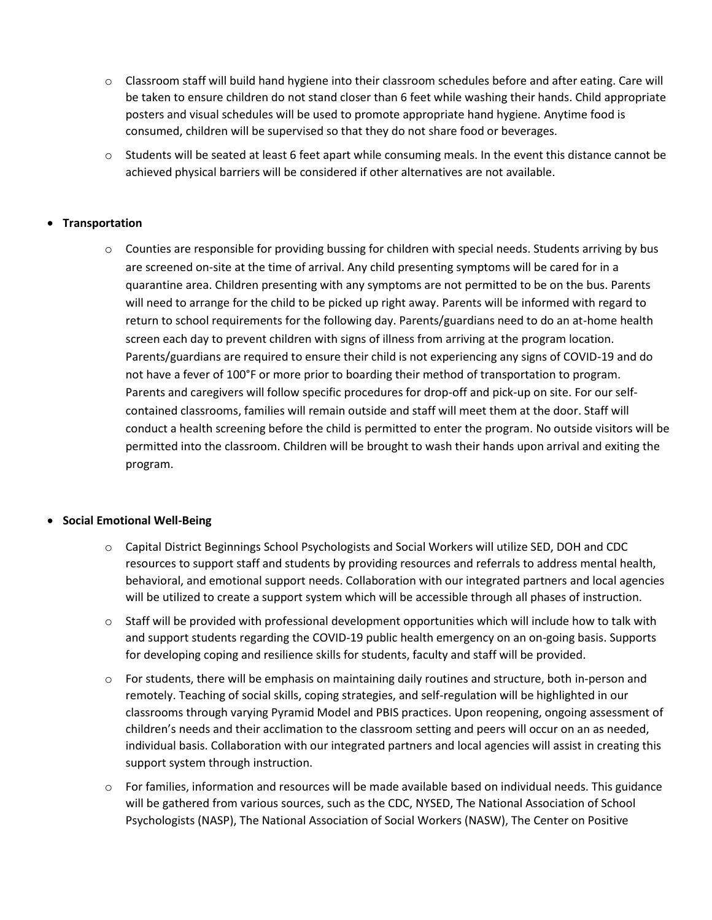- $\circ$  Classroom staff will build hand hygiene into their classroom schedules before and after eating. Care will be taken to ensure children do not stand closer than 6 feet while washing their hands. Child appropriate posters and visual schedules will be used to promote appropriate hand hygiene. Anytime food is consumed, children will be supervised so that they do not share food or beverages.
- $\circ$  Students will be seated at least 6 feet apart while consuming meals. In the event this distance cannot be achieved physical barriers will be considered if other alternatives are not available.

## • **Transportation**

o Counties are responsible for providing bussing for children with special needs. Students arriving by bus are screened on-site at the time of arrival. Any child presenting symptoms will be cared for in a quarantine area. Children presenting with any symptoms are not permitted to be on the bus. Parents will need to arrange for the child to be picked up right away. Parents will be informed with regard to return to school requirements for the following day. Parents/guardians need to do an at-home health screen each day to prevent children with signs of illness from arriving at the program location. Parents/guardians are required to ensure their child is not experiencing any signs of COVID-19 and do not have a fever of 100°F or more prior to boarding their method of transportation to program. Parents and caregivers will follow specific procedures for drop-off and pick-up on site. For our selfcontained classrooms, families will remain outside and staff will meet them at the door. Staff will conduct a health screening before the child is permitted to enter the program. No outside visitors will be permitted into the classroom. Children will be brought to wash their hands upon arrival and exiting the program.

#### • **Social Emotional Well-Being**

- o Capital District Beginnings School Psychologists and Social Workers will utilize SED, DOH and CDC resources to support staff and students by providing resources and referrals to address mental health, behavioral, and emotional support needs. Collaboration with our integrated partners and local agencies will be utilized to create a support system which will be accessible through all phases of instruction.
- $\circ$  Staff will be provided with professional development opportunities which will include how to talk with and support students regarding the COVID-19 public health emergency on an on-going basis. Supports for developing coping and resilience skills for students, faculty and staff will be provided.
- $\circ$  For students, there will be emphasis on maintaining daily routines and structure, both in-person and remotely. Teaching of social skills, coping strategies, and self-regulation will be highlighted in our classrooms through varying Pyramid Model and PBIS practices. Upon reopening, ongoing assessment of children's needs and their acclimation to the classroom setting and peers will occur on an as needed, individual basis. Collaboration with our integrated partners and local agencies will assist in creating this support system through instruction.
- $\circ$  For families, information and resources will be made available based on individual needs. This guidance will be gathered from various sources, such as the CDC, NYSED, The National Association of School Psychologists (NASP), The National Association of Social Workers (NASW), The Center on Positive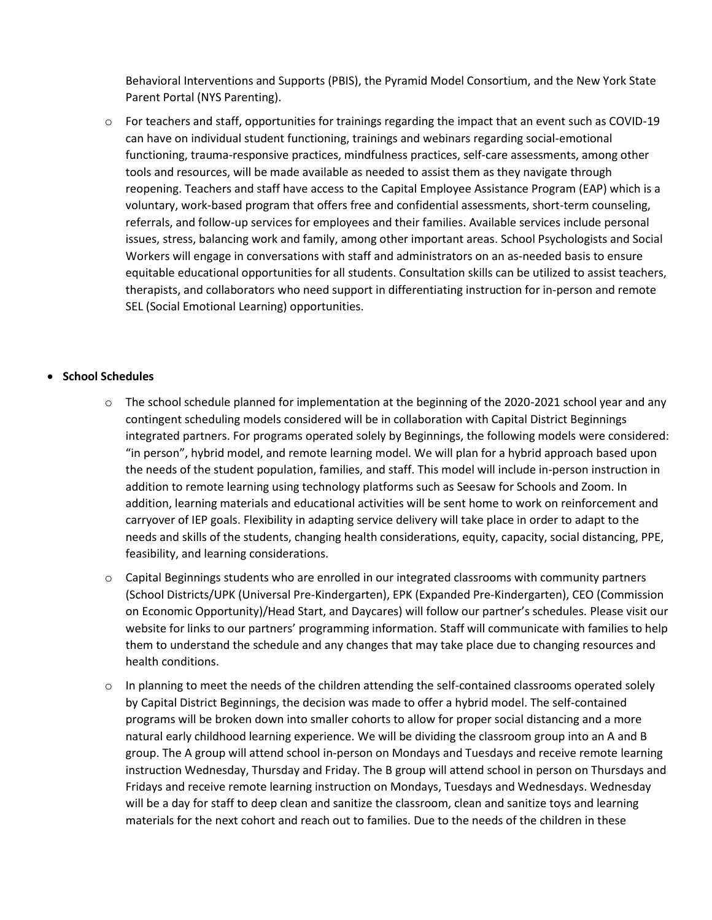Behavioral Interventions and Supports (PBIS), the Pyramid Model Consortium, and the New York State Parent Portal (NYS Parenting).

o For teachers and staff, opportunities for trainings regarding the impact that an event such as COVID-19 can have on individual student functioning, trainings and webinars regarding social-emotional functioning, trauma-responsive practices, mindfulness practices, self-care assessments, among other tools and resources, will be made available as needed to assist them as they navigate through reopening. Teachers and staff have access to the Capital Employee Assistance Program (EAP) which is a voluntary, work-based program that offers free and confidential assessments, short-term counseling, referrals, and follow-up services for employees and their families. Available services include personal issues, stress, balancing work and family, among other important areas. School Psychologists and Social Workers will engage in conversations with staff and administrators on an as-needed basis to ensure equitable educational opportunities for all students. Consultation skills can be utilized to assist teachers, therapists, and collaborators who need support in differentiating instruction for in-person and remote SEL (Social Emotional Learning) opportunities.

## • **School Schedules**

- $\circ$  The school schedule planned for implementation at the beginning of the 2020-2021 school year and any contingent scheduling models considered will be in collaboration with Capital District Beginnings integrated partners. For programs operated solely by Beginnings, the following models were considered: "in person", hybrid model, and remote learning model. We will plan for a hybrid approach based upon the needs of the student population, families, and staff. This model will include in-person instruction in addition to remote learning using technology platforms such as Seesaw for Schools and Zoom. In addition, learning materials and educational activities will be sent home to work on reinforcement and carryover of IEP goals. Flexibility in adapting service delivery will take place in order to adapt to the needs and skills of the students, changing health considerations, equity, capacity, social distancing, PPE, feasibility, and learning considerations.
- $\circ$  Capital Beginnings students who are enrolled in our integrated classrooms with community partners (School Districts/UPK (Universal Pre-Kindergarten), EPK (Expanded Pre-Kindergarten), CEO (Commission on Economic Opportunity)/Head Start, and Daycares) will follow our partner's schedules. Please visit our website for links to our partners' programming information. Staff will communicate with families to help them to understand the schedule and any changes that may take place due to changing resources and health conditions.
- $\circ$  In planning to meet the needs of the children attending the self-contained classrooms operated solely by Capital District Beginnings, the decision was made to offer a hybrid model. The self-contained programs will be broken down into smaller cohorts to allow for proper social distancing and a more natural early childhood learning experience. We will be dividing the classroom group into an A and B group. The A group will attend school in-person on Mondays and Tuesdays and receive remote learning instruction Wednesday, Thursday and Friday. The B group will attend school in person on Thursdays and Fridays and receive remote learning instruction on Mondays, Tuesdays and Wednesdays. Wednesday will be a day for staff to deep clean and sanitize the classroom, clean and sanitize toys and learning materials for the next cohort and reach out to families. Due to the needs of the children in these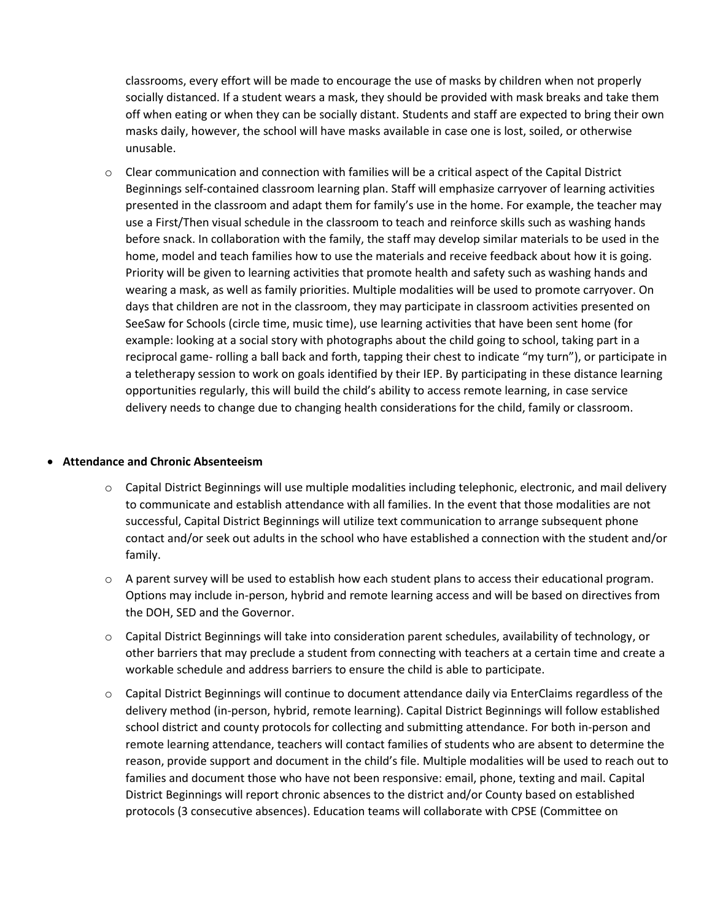classrooms, every effort will be made to encourage the use of masks by children when not properly socially distanced. If a student wears a mask, they should be provided with mask breaks and take them off when eating or when they can be socially distant. Students and staff are expected to bring their own masks daily, however, the school will have masks available in case one is lost, soiled, or otherwise unusable.

 $\circ$  Clear communication and connection with families will be a critical aspect of the Capital District Beginnings self-contained classroom learning plan. Staff will emphasize carryover of learning activities presented in the classroom and adapt them for family's use in the home. For example, the teacher may use a First/Then visual schedule in the classroom to teach and reinforce skills such as washing hands before snack. In collaboration with the family, the staff may develop similar materials to be used in the home, model and teach families how to use the materials and receive feedback about how it is going. Priority will be given to learning activities that promote health and safety such as washing hands and wearing a mask, as well as family priorities. Multiple modalities will be used to promote carryover. On days that children are not in the classroom, they may participate in classroom activities presented on SeeSaw for Schools (circle time, music time), use learning activities that have been sent home (for example: looking at a social story with photographs about the child going to school, taking part in a reciprocal game- rolling a ball back and forth, tapping their chest to indicate "my turn"), or participate in a teletherapy session to work on goals identified by their IEP. By participating in these distance learning opportunities regularly, this will build the child's ability to access remote learning, in case service delivery needs to change due to changing health considerations for the child, family or classroom.

#### • **Attendance and Chronic Absenteeism**

- $\circ$  Capital District Beginnings will use multiple modalities including telephonic, electronic, and mail delivery to communicate and establish attendance with all families. In the event that those modalities are not successful, Capital District Beginnings will utilize text communication to arrange subsequent phone contact and/or seek out adults in the school who have established a connection with the student and/or family.
- $\circ$  A parent survey will be used to establish how each student plans to access their educational program. Options may include in-person, hybrid and remote learning access and will be based on directives from the DOH, SED and the Governor.
- o Capital District Beginnings will take into consideration parent schedules, availability of technology, or other barriers that may preclude a student from connecting with teachers at a certain time and create a workable schedule and address barriers to ensure the child is able to participate.
- o Capital District Beginnings will continue to document attendance daily via EnterClaims regardless of the delivery method (in-person, hybrid, remote learning). Capital District Beginnings will follow established school district and county protocols for collecting and submitting attendance. For both in-person and remote learning attendance, teachers will contact families of students who are absent to determine the reason, provide support and document in the child's file. Multiple modalities will be used to reach out to families and document those who have not been responsive: email, phone, texting and mail. Capital District Beginnings will report chronic absences to the district and/or County based on established protocols (3 consecutive absences). Education teams will collaborate with CPSE (Committee on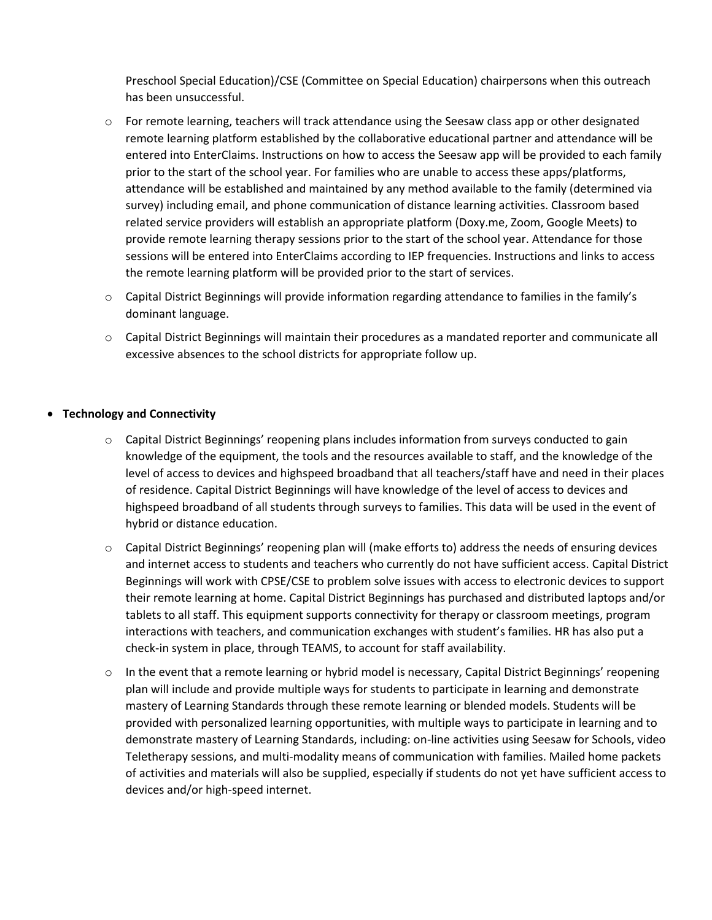Preschool Special Education)/CSE (Committee on Special Education) chairpersons when this outreach has been unsuccessful.

- o For remote learning, teachers will track attendance using the Seesaw class app or other designated remote learning platform established by the collaborative educational partner and attendance will be entered into EnterClaims. Instructions on how to access the Seesaw app will be provided to each family prior to the start of the school year. For families who are unable to access these apps/platforms, attendance will be established and maintained by any method available to the family (determined via survey) including email, and phone communication of distance learning activities. Classroom based related service providers will establish an appropriate platform (Doxy.me, Zoom, Google Meets) to provide remote learning therapy sessions prior to the start of the school year. Attendance for those sessions will be entered into EnterClaims according to IEP frequencies. Instructions and links to access the remote learning platform will be provided prior to the start of services.
- $\circ$  Capital District Beginnings will provide information regarding attendance to families in the family's dominant language.
- o Capital District Beginnings will maintain their procedures as a mandated reporter and communicate all excessive absences to the school districts for appropriate follow up.

#### • **Technology and Connectivity**

- o Capital District Beginnings' reopening plans includes information from surveys conducted to gain knowledge of the equipment, the tools and the resources available to staff, and the knowledge of the level of access to devices and highspeed broadband that all teachers/staff have and need in their places of residence. Capital District Beginnings will have knowledge of the level of access to devices and highspeed broadband of all students through surveys to families. This data will be used in the event of hybrid or distance education.
- o Capital District Beginnings' reopening plan will (make efforts to) address the needs of ensuring devices and internet access to students and teachers who currently do not have sufficient access. Capital District Beginnings will work with CPSE/CSE to problem solve issues with access to electronic devices to support their remote learning at home. Capital District Beginnings has purchased and distributed laptops and/or tablets to all staff. This equipment supports connectivity for therapy or classroom meetings, program interactions with teachers, and communication exchanges with student's families. HR has also put a check-in system in place, through TEAMS, to account for staff availability.
- $\circ$  In the event that a remote learning or hybrid model is necessary, Capital District Beginnings' reopening plan will include and provide multiple ways for students to participate in learning and demonstrate mastery of Learning Standards through these remote learning or blended models. Students will be provided with personalized learning opportunities, with multiple ways to participate in learning and to demonstrate mastery of Learning Standards, including: on-line activities using Seesaw for Schools, video Teletherapy sessions, and multi-modality means of communication with families. Mailed home packets of activities and materials will also be supplied, especially if students do not yet have sufficient access to devices and/or high-speed internet.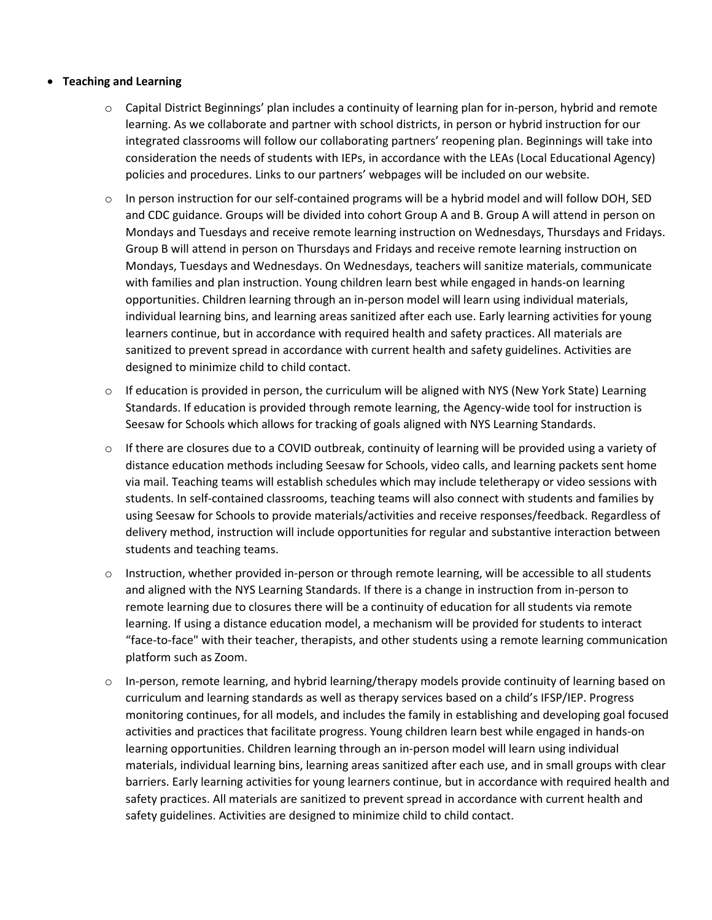#### • **Teaching and Learning**

- $\circ$  Capital District Beginnings' plan includes a continuity of learning plan for in-person, hybrid and remote learning. As we collaborate and partner with school districts, in person or hybrid instruction for our integrated classrooms will follow our collaborating partners' reopening plan. Beginnings will take into consideration the needs of students with IEPs, in accordance with the LEAs (Local Educational Agency) policies and procedures. Links to our partners' webpages will be included on our website.
- $\circ$  In person instruction for our self-contained programs will be a hybrid model and will follow DOH, SED and CDC guidance. Groups will be divided into cohort Group A and B. Group A will attend in person on Mondays and Tuesdays and receive remote learning instruction on Wednesdays, Thursdays and Fridays. Group B will attend in person on Thursdays and Fridays and receive remote learning instruction on Mondays, Tuesdays and Wednesdays. On Wednesdays, teachers will sanitize materials, communicate with families and plan instruction. Young children learn best while engaged in hands-on learning opportunities. Children learning through an in-person model will learn using individual materials, individual learning bins, and learning areas sanitized after each use. Early learning activities for young learners continue, but in accordance with required health and safety practices. All materials are sanitized to prevent spread in accordance with current health and safety guidelines. Activities are designed to minimize child to child contact.
- $\circ$  If education is provided in person, the curriculum will be aligned with NYS (New York State) Learning Standards. If education is provided through remote learning, the Agency-wide tool for instruction is Seesaw for Schools which allows for tracking of goals aligned with NYS Learning Standards.
- $\circ$  If there are closures due to a COVID outbreak, continuity of learning will be provided using a variety of distance education methods including Seesaw for Schools, video calls, and learning packets sent home via mail. Teaching teams will establish schedules which may include teletherapy or video sessions with students. In self-contained classrooms, teaching teams will also connect with students and families by using Seesaw for Schools to provide materials/activities and receive responses/feedback. Regardless of delivery method, instruction will include opportunities for regular and substantive interaction between students and teaching teams.
- $\circ$  Instruction, whether provided in-person or through remote learning, will be accessible to all students and aligned with the NYS Learning Standards. If there is a change in instruction from in-person to remote learning due to closures there will be a continuity of education for all students via remote learning. If using a distance education model, a mechanism will be provided for students to interact "face-to-face" with their teacher, therapists, and other students using a remote learning communication platform such as Zoom.
- $\circ$  In-person, remote learning, and hybrid learning/therapy models provide continuity of learning based on curriculum and learning standards as well as therapy services based on a child's IFSP/IEP. Progress monitoring continues, for all models, and includes the family in establishing and developing goal focused activities and practices that facilitate progress. Young children learn best while engaged in hands-on learning opportunities. Children learning through an in-person model will learn using individual materials, individual learning bins, learning areas sanitized after each use, and in small groups with clear barriers. Early learning activities for young learners continue, but in accordance with required health and safety practices. All materials are sanitized to prevent spread in accordance with current health and safety guidelines. Activities are designed to minimize child to child contact.